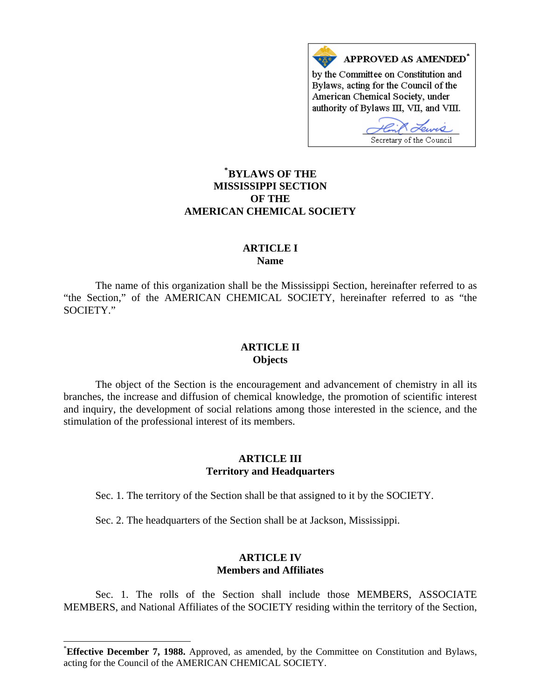

# **\* [BYLAWS OF THE](#page-0-0)  MISSISSIPPI SECTION OF THE AMERICAN CHEMICAL SOCIETY**

## **ARTICLE I Name**

The name of this organization shall be the Mississippi Section, hereinafter referred to as "the Section," of the AMERICAN CHEMICAL SOCIETY, hereinafter referred to as "the SOCIETY."

## **ARTICLE II Objects**

The object of the Section is the encouragement and advancement of chemistry in all its branches, the increase and diffusion of chemical knowledge, the promotion of scientific interest and inquiry, the development of social relations among those interested in the science, and the stimulation of the professional interest of its members.

## **ARTICLE III Territory and Headquarters**

Sec. 1. The territory of the Section shall be that assigned to it by the SOCIETY.

Sec. 2. The headquarters of the Section shall be at Jackson, Mississippi.

 $\overline{a}$ 

## **ARTICLE IV Members and Affiliates**

Sec. 1. The rolls of the Section shall include those MEMBERS, ASSOCIATE MEMBERS, and National Affiliates of the SOCIETY residing within the territory of the Section,

<span id="page-0-0"></span><sup>\*</sup> **Effective December 7, 1988.** Approved, as amended, by the Committee on Constitution and Bylaws, acting for the Council of the AMERICAN CHEMICAL SOCIETY.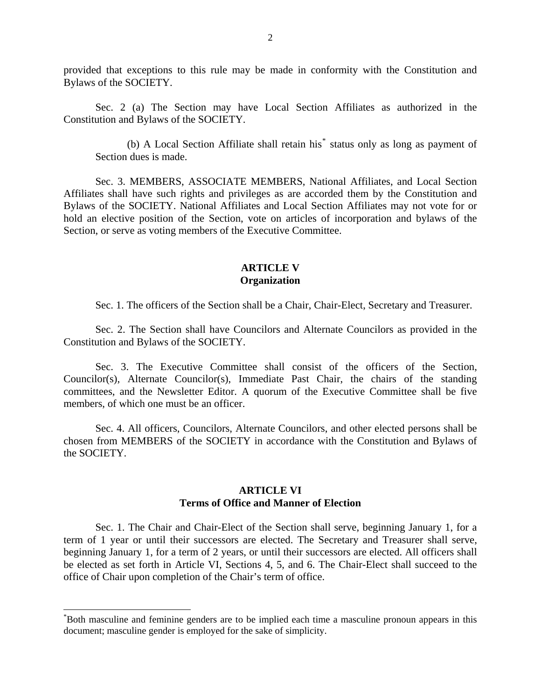provided that exceptions to this rule may be made in conformity with the Constitution and Bylaws of the SOCIETY.

Sec. 2 (a) The Section may have Local Section Affiliates as authorized in the Constitution and Bylaws of the SOCIETY.

(b) A Local Section Affiliate shall retain his<sup>[\\*](#page-1-0)</sup> status only as long as payment of Section dues is made.

Sec. 3. MEMBERS, ASSOCIATE MEMBERS, National Affiliates, and Local Section Affiliates shall have such rights and privileges as are accorded them by the Constitution and Bylaws of the SOCIETY. National Affiliates and Local Section Affiliates may not vote for or hold an elective position of the Section, vote on articles of incorporation and bylaws of the Section, or serve as voting members of the Executive Committee.

#### **ARTICLE V Organization**

Sec. 1. The officers of the Section shall be a Chair, Chair-Elect, Secretary and Treasurer.

Sec. 2. The Section shall have Councilors and Alternate Councilors as provided in the Constitution and Bylaws of the SOCIETY.

Sec. 3. The Executive Committee shall consist of the officers of the Section, Councilor(s), Alternate Councilor(s), Immediate Past Chair, the chairs of the standing committees, and the Newsletter Editor. A quorum of the Executive Committee shall be five members, of which one must be an officer.

Sec. 4. All officers, Councilors, Alternate Councilors, and other elected persons shall be chosen from MEMBERS of the SOCIETY in accordance with the Constitution and Bylaws of the SOCIETY.

### **ARTICLE VI Terms of Office and Manner of Election**

Sec. 1. The Chair and Chair-Elect of the Section shall serve, beginning January 1, for a term of 1 year or until their successors are elected. The Secretary and Treasurer shall serve, beginning January 1, for a term of 2 years, or until their successors are elected. All officers shall be elected as set forth in Article VI, Sections 4, 5, and 6. The Chair-Elect shall succeed to the office of Chair upon completion of the Chair's term of office.

 $\overline{a}$ 

<span id="page-1-0"></span><sup>\*</sup> Both masculine and feminine genders are to be implied each time a masculine pronoun appears in this document; masculine gender is employed for the sake of simplicity.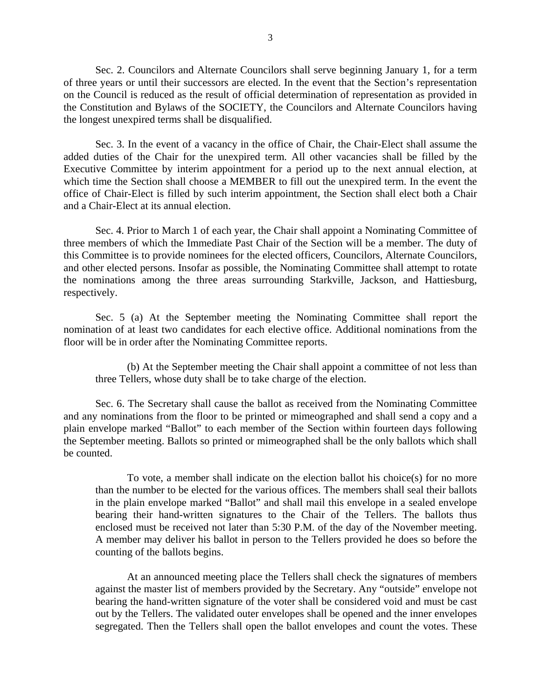Sec. 2. Councilors and Alternate Councilors shall serve beginning January 1, for a term of three years or until their successors are elected. In the event that the Section's representation on the Council is reduced as the result of official determination of representation as provided in the Constitution and Bylaws of the SOCIETY, the Councilors and Alternate Councilors having the longest unexpired terms shall be disqualified.

Sec. 3. In the event of a vacancy in the office of Chair, the Chair-Elect shall assume the added duties of the Chair for the unexpired term. All other vacancies shall be filled by the Executive Committee by interim appointment for a period up to the next annual election, at which time the Section shall choose a MEMBER to fill out the unexpired term. In the event the office of Chair-Elect is filled by such interim appointment, the Section shall elect both a Chair and a Chair-Elect at its annual election.

Sec. 4. Prior to March 1 of each year, the Chair shall appoint a Nominating Committee of three members of which the Immediate Past Chair of the Section will be a member. The duty of this Committee is to provide nominees for the elected officers, Councilors, Alternate Councilors, and other elected persons. Insofar as possible, the Nominating Committee shall attempt to rotate the nominations among the three areas surrounding Starkville, Jackson, and Hattiesburg, respectively.

Sec. 5 (a) At the September meeting the Nominating Committee shall report the nomination of at least two candidates for each elective office. Additional nominations from the floor will be in order after the Nominating Committee reports.

(b) At the September meeting the Chair shall appoint a committee of not less than three Tellers, whose duty shall be to take charge of the election.

Sec. 6. The Secretary shall cause the ballot as received from the Nominating Committee and any nominations from the floor to be printed or mimeographed and shall send a copy and a plain envelope marked "Ballot" to each member of the Section within fourteen days following the September meeting. Ballots so printed or mimeographed shall be the only ballots which shall be counted.

To vote, a member shall indicate on the election ballot his choice(s) for no more than the number to be elected for the various offices. The members shall seal their ballots in the plain envelope marked "Ballot" and shall mail this envelope in a sealed envelope bearing their hand-written signatures to the Chair of the Tellers. The ballots thus enclosed must be received not later than 5:30 P.M. of the day of the November meeting. A member may deliver his ballot in person to the Tellers provided he does so before the counting of the ballots begins.

At an announced meeting place the Tellers shall check the signatures of members against the master list of members provided by the Secretary. Any "outside" envelope not bearing the hand-written signature of the voter shall be considered void and must be cast out by the Tellers. The validated outer envelopes shall be opened and the inner envelopes segregated. Then the Tellers shall open the ballot envelopes and count the votes. These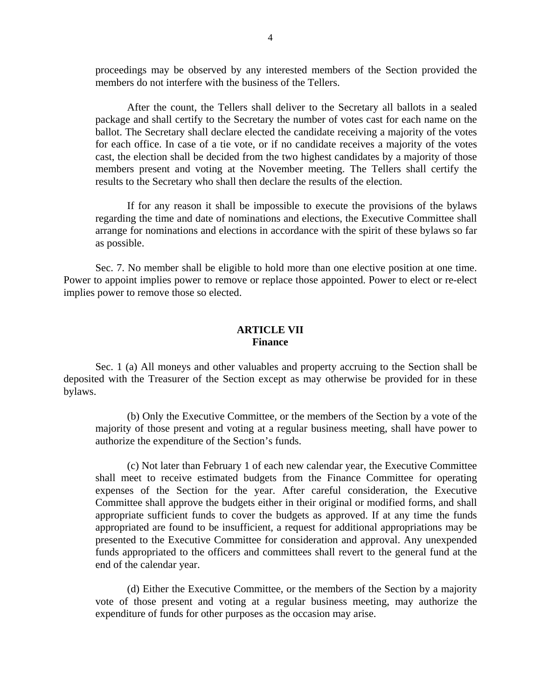proceedings may be observed by any interested members of the Section provided the members do not interfere with the business of the Tellers.

After the count, the Tellers shall deliver to the Secretary all ballots in a sealed package and shall certify to the Secretary the number of votes cast for each name on the ballot. The Secretary shall declare elected the candidate receiving a majority of the votes for each office. In case of a tie vote, or if no candidate receives a majority of the votes cast, the election shall be decided from the two highest candidates by a majority of those members present and voting at the November meeting. The Tellers shall certify the results to the Secretary who shall then declare the results of the election.

If for any reason it shall be impossible to execute the provisions of the bylaws regarding the time and date of nominations and elections, the Executive Committee shall arrange for nominations and elections in accordance with the spirit of these bylaws so far as possible.

Sec. 7. No member shall be eligible to hold more than one elective position at one time. Power to appoint implies power to remove or replace those appointed. Power to elect or re-elect implies power to remove those so elected.

#### **ARTICLE VII Finance**

Sec. 1 (a) All moneys and other valuables and property accruing to the Section shall be deposited with the Treasurer of the Section except as may otherwise be provided for in these bylaws.

(b) Only the Executive Committee, or the members of the Section by a vote of the majority of those present and voting at a regular business meeting, shall have power to authorize the expenditure of the Section's funds.

(c) Not later than February 1 of each new calendar year, the Executive Committee shall meet to receive estimated budgets from the Finance Committee for operating expenses of the Section for the year. After careful consideration, the Executive Committee shall approve the budgets either in their original or modified forms, and shall appropriate sufficient funds to cover the budgets as approved. If at any time the funds appropriated are found to be insufficient, a request for additional appropriations may be presented to the Executive Committee for consideration and approval. Any unexpended funds appropriated to the officers and committees shall revert to the general fund at the end of the calendar year.

(d) Either the Executive Committee, or the members of the Section by a majority vote of those present and voting at a regular business meeting, may authorize the expenditure of funds for other purposes as the occasion may arise.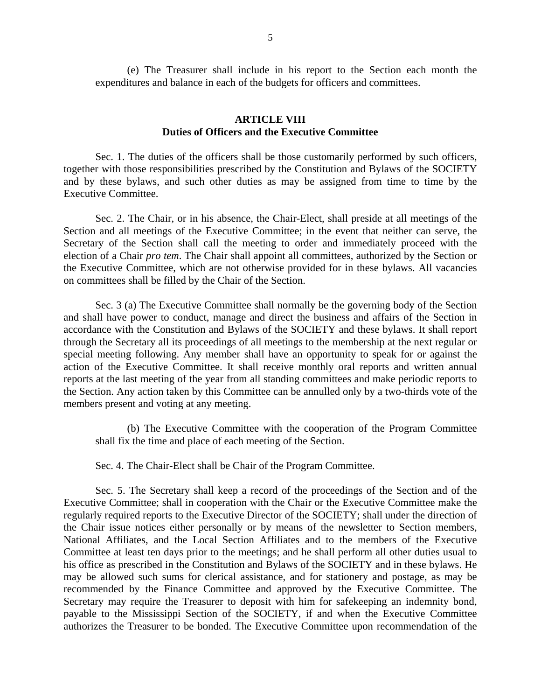(e) The Treasurer shall include in his report to the Section each month the expenditures and balance in each of the budgets for officers and committees.

## **ARTICLE VIII Duties of Officers and the Executive Committee**

Sec. 1. The duties of the officers shall be those customarily performed by such officers, together with those responsibilities prescribed by the Constitution and Bylaws of the SOCIETY and by these bylaws, and such other duties as may be assigned from time to time by the Executive Committee.

Sec. 2. The Chair, or in his absence, the Chair-Elect, shall preside at all meetings of the Section and all meetings of the Executive Committee; in the event that neither can serve, the Secretary of the Section shall call the meeting to order and immediately proceed with the election of a Chair *pro tem*. The Chair shall appoint all committees, authorized by the Section or the Executive Committee, which are not otherwise provided for in these bylaws. All vacancies on committees shall be filled by the Chair of the Section.

Sec. 3 (a) The Executive Committee shall normally be the governing body of the Section and shall have power to conduct, manage and direct the business and affairs of the Section in accordance with the Constitution and Bylaws of the SOCIETY and these bylaws. It shall report through the Secretary all its proceedings of all meetings to the membership at the next regular or special meeting following. Any member shall have an opportunity to speak for or against the action of the Executive Committee. It shall receive monthly oral reports and written annual reports at the last meeting of the year from all standing committees and make periodic reports to the Section. Any action taken by this Committee can be annulled only by a two-thirds vote of the members present and voting at any meeting.

(b) The Executive Committee with the cooperation of the Program Committee shall fix the time and place of each meeting of the Section.

Sec. 4. The Chair-Elect shall be Chair of the Program Committee.

Sec. 5. The Secretary shall keep a record of the proceedings of the Section and of the Executive Committee; shall in cooperation with the Chair or the Executive Committee make the regularly required reports to the Executive Director of the SOCIETY; shall under the direction of the Chair issue notices either personally or by means of the newsletter to Section members, National Affiliates, and the Local Section Affiliates and to the members of the Executive Committee at least ten days prior to the meetings; and he shall perform all other duties usual to his office as prescribed in the Constitution and Bylaws of the SOCIETY and in these bylaws. He may be allowed such sums for clerical assistance, and for stationery and postage, as may be recommended by the Finance Committee and approved by the Executive Committee. The Secretary may require the Treasurer to deposit with him for safekeeping an indemnity bond, payable to the Mississippi Section of the SOCIETY, if and when the Executive Committee authorizes the Treasurer to be bonded. The Executive Committee upon recommendation of the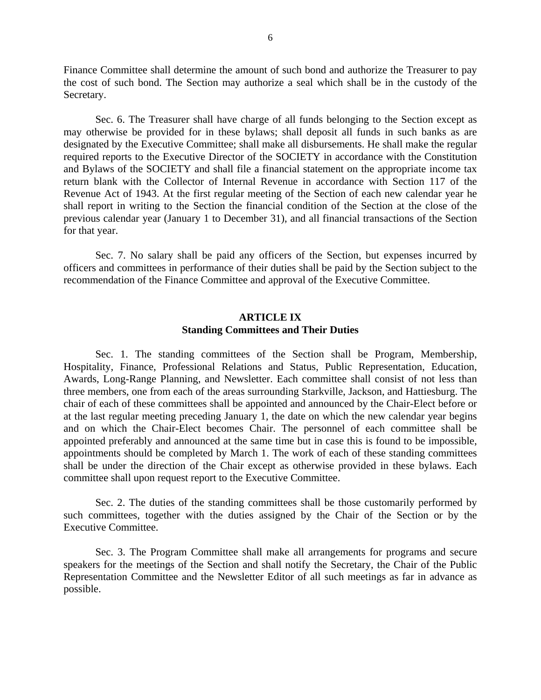Finance Committee shall determine the amount of such bond and authorize the Treasurer to pay the cost of such bond. The Section may authorize a seal which shall be in the custody of the Secretary.

Sec. 6. The Treasurer shall have charge of all funds belonging to the Section except as may otherwise be provided for in these bylaws; shall deposit all funds in such banks as are designated by the Executive Committee; shall make all disbursements. He shall make the regular required reports to the Executive Director of the SOCIETY in accordance with the Constitution and Bylaws of the SOCIETY and shall file a financial statement on the appropriate income tax return blank with the Collector of Internal Revenue in accordance with Section 117 of the Revenue Act of 1943. At the first regular meeting of the Section of each new calendar year he shall report in writing to the Section the financial condition of the Section at the close of the previous calendar year (January 1 to December 31), and all financial transactions of the Section for that year.

Sec. 7. No salary shall be paid any officers of the Section, but expenses incurred by officers and committees in performance of their duties shall be paid by the Section subject to the recommendation of the Finance Committee and approval of the Executive Committee.

## **ARTICLE IX Standing Committees and Their Duties**

Sec. 1. The standing committees of the Section shall be Program, Membership, Hospitality, Finance, Professional Relations and Status, Public Representation, Education, Awards, Long-Range Planning, and Newsletter. Each committee shall consist of not less than three members, one from each of the areas surrounding Starkville, Jackson, and Hattiesburg. The chair of each of these committees shall be appointed and announced by the Chair-Elect before or at the last regular meeting preceding January 1, the date on which the new calendar year begins and on which the Chair-Elect becomes Chair. The personnel of each committee shall be appointed preferably and announced at the same time but in case this is found to be impossible, appointments should be completed by March 1. The work of each of these standing committees shall be under the direction of the Chair except as otherwise provided in these bylaws. Each committee shall upon request report to the Executive Committee.

Sec. 2. The duties of the standing committees shall be those customarily performed by such committees, together with the duties assigned by the Chair of the Section or by the Executive Committee.

Sec. 3. The Program Committee shall make all arrangements for programs and secure speakers for the meetings of the Section and shall notify the Secretary, the Chair of the Public Representation Committee and the Newsletter Editor of all such meetings as far in advance as possible.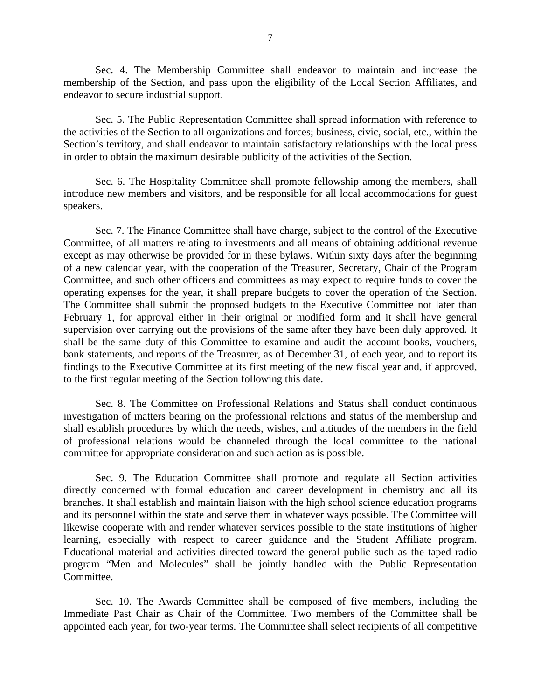Sec. 4. The Membership Committee shall endeavor to maintain and increase the membership of the Section, and pass upon the eligibility of the Local Section Affiliates, and endeavor to secure industrial support.

Sec. 5. The Public Representation Committee shall spread information with reference to the activities of the Section to all organizations and forces; business, civic, social, etc., within the Section's territory, and shall endeavor to maintain satisfactory relationships with the local press in order to obtain the maximum desirable publicity of the activities of the Section.

Sec. 6. The Hospitality Committee shall promote fellowship among the members, shall introduce new members and visitors, and be responsible for all local accommodations for guest speakers.

Sec. 7. The Finance Committee shall have charge, subject to the control of the Executive Committee, of all matters relating to investments and all means of obtaining additional revenue except as may otherwise be provided for in these bylaws. Within sixty days after the beginning of a new calendar year, with the cooperation of the Treasurer, Secretary, Chair of the Program Committee, and such other officers and committees as may expect to require funds to cover the operating expenses for the year, it shall prepare budgets to cover the operation of the Section. The Committee shall submit the proposed budgets to the Executive Committee not later than February 1, for approval either in their original or modified form and it shall have general supervision over carrying out the provisions of the same after they have been duly approved. It shall be the same duty of this Committee to examine and audit the account books, vouchers, bank statements, and reports of the Treasurer, as of December 31, of each year, and to report its findings to the Executive Committee at its first meeting of the new fiscal year and, if approved, to the first regular meeting of the Section following this date.

Sec. 8. The Committee on Professional Relations and Status shall conduct continuous investigation of matters bearing on the professional relations and status of the membership and shall establish procedures by which the needs, wishes, and attitudes of the members in the field of professional relations would be channeled through the local committee to the national committee for appropriate consideration and such action as is possible.

Sec. 9. The Education Committee shall promote and regulate all Section activities directly concerned with formal education and career development in chemistry and all its branches. It shall establish and maintain liaison with the high school science education programs and its personnel within the state and serve them in whatever ways possible. The Committee will likewise cooperate with and render whatever services possible to the state institutions of higher learning, especially with respect to career guidance and the Student Affiliate program. Educational material and activities directed toward the general public such as the taped radio program "Men and Molecules" shall be jointly handled with the Public Representation Committee.

Sec. 10. The Awards Committee shall be composed of five members, including the Immediate Past Chair as Chair of the Committee. Two members of the Committee shall be appointed each year, for two-year terms. The Committee shall select recipients of all competitive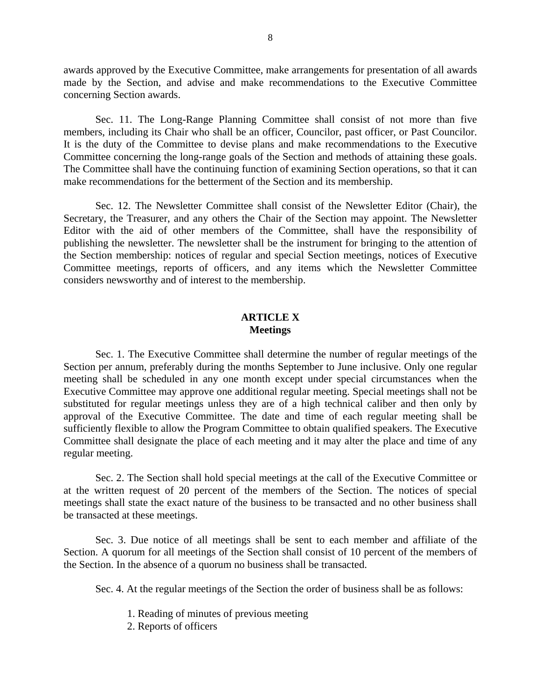awards approved by the Executive Committee, make arrangements for presentation of all awards made by the Section, and advise and make recommendations to the Executive Committee concerning Section awards.

Sec. 11. The Long-Range Planning Committee shall consist of not more than five members, including its Chair who shall be an officer, Councilor, past officer, or Past Councilor. It is the duty of the Committee to devise plans and make recommendations to the Executive Committee concerning the long-range goals of the Section and methods of attaining these goals. The Committee shall have the continuing function of examining Section operations, so that it can make recommendations for the betterment of the Section and its membership.

Sec. 12. The Newsletter Committee shall consist of the Newsletter Editor (Chair), the Secretary, the Treasurer, and any others the Chair of the Section may appoint. The Newsletter Editor with the aid of other members of the Committee, shall have the responsibility of publishing the newsletter. The newsletter shall be the instrument for bringing to the attention of the Section membership: notices of regular and special Section meetings, notices of Executive Committee meetings, reports of officers, and any items which the Newsletter Committee considers newsworthy and of interest to the membership.

### **ARTICLE X Meetings**

Sec. 1. The Executive Committee shall determine the number of regular meetings of the Section per annum, preferably during the months September to June inclusive. Only one regular meeting shall be scheduled in any one month except under special circumstances when the Executive Committee may approve one additional regular meeting. Special meetings shall not be substituted for regular meetings unless they are of a high technical caliber and then only by approval of the Executive Committee. The date and time of each regular meeting shall be sufficiently flexible to allow the Program Committee to obtain qualified speakers. The Executive Committee shall designate the place of each meeting and it may alter the place and time of any regular meeting.

Sec. 2. The Section shall hold special meetings at the call of the Executive Committee or at the written request of 20 percent of the members of the Section. The notices of special meetings shall state the exact nature of the business to be transacted and no other business shall be transacted at these meetings.

Sec. 3. Due notice of all meetings shall be sent to each member and affiliate of the Section. A quorum for all meetings of the Section shall consist of 10 percent of the members of the Section. In the absence of a quorum no business shall be transacted.

Sec. 4. At the regular meetings of the Section the order of business shall be as follows:

- 1. Reading of minutes of previous meeting
- 2. Reports of officers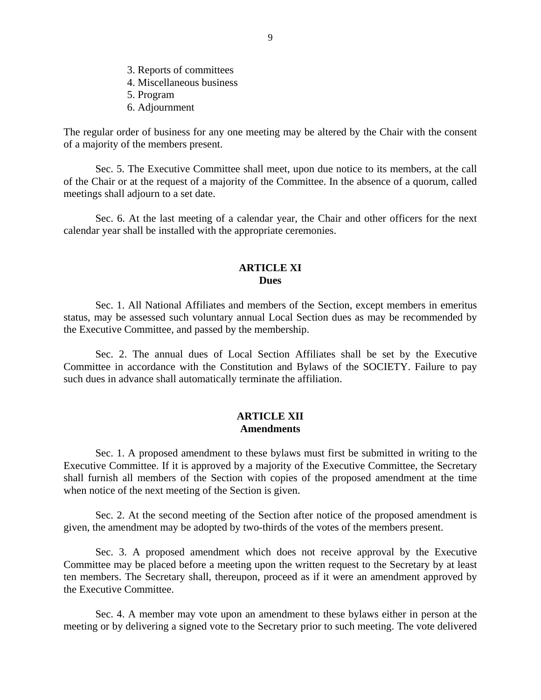- 3. Reports of committees
- 4. Miscellaneous business
- 5. Program
- 6. Adjournment

The regular order of business for any one meeting may be altered by the Chair with the consent of a majority of the members present.

Sec. 5. The Executive Committee shall meet, upon due notice to its members, at the call of the Chair or at the request of a majority of the Committee. In the absence of a quorum, called meetings shall adjourn to a set date.

Sec. 6. At the last meeting of a calendar year, the Chair and other officers for the next calendar year shall be installed with the appropriate ceremonies.

### **ARTICLE XI Dues**

Sec. 1. All National Affiliates and members of the Section, except members in emeritus status, may be assessed such voluntary annual Local Section dues as may be recommended by the Executive Committee, and passed by the membership.

Sec. 2. The annual dues of Local Section Affiliates shall be set by the Executive Committee in accordance with the Constitution and Bylaws of the SOCIETY. Failure to pay such dues in advance shall automatically terminate the affiliation.

## **ARTICLE XII Amendments**

Sec. 1. A proposed amendment to these bylaws must first be submitted in writing to the Executive Committee. If it is approved by a majority of the Executive Committee, the Secretary shall furnish all members of the Section with copies of the proposed amendment at the time when notice of the next meeting of the Section is given.

Sec. 2. At the second meeting of the Section after notice of the proposed amendment is given, the amendment may be adopted by two-thirds of the votes of the members present.

Sec. 3. A proposed amendment which does not receive approval by the Executive Committee may be placed before a meeting upon the written request to the Secretary by at least ten members. The Secretary shall, thereupon, proceed as if it were an amendment approved by the Executive Committee.

Sec. 4. A member may vote upon an amendment to these bylaws either in person at the meeting or by delivering a signed vote to the Secretary prior to such meeting. The vote delivered